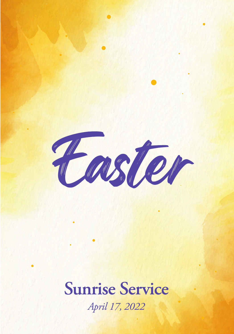

# **Sunrise Service** *April 17, 2022*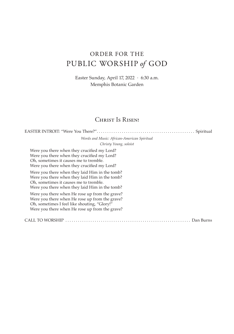# ORDER FOR THE PUBLIC WORSHIP of GOD.

Easter Sunday, April 17, 2022 · 6:30 a.m. Memphis Botanic Garden

# CHRIST IS RISEN!

| Words and Music: African-American Spiritual<br>Christy Young, soloist                                                                                                                              |  |  |
|----------------------------------------------------------------------------------------------------------------------------------------------------------------------------------------------------|--|--|
| Were you there when they crucified my Lord?<br>Were you there when they crucified my Lord?<br>Oh, sometimes it causes me to tremble.<br>Were you there when they crucified my Lord?                |  |  |
| Were you there when they laid Him in the tomb?<br>Were you there when they laid Him in the tomb?<br>Oh, sometimes it causes me to tremble.<br>Were you there when they laid Him in the tomb?       |  |  |
| Were you there when He rose up from the grave?<br>Were you there when He rose up from the grave?<br>Oh, sometimes I feel like shouting, "Glory!"<br>Were you there when He rose up from the grave? |  |  |

CALL TO WORSHIP . . . . . . . . . . . . . . . . . . . . . . . . . . . . . . . . . . . . . . . . . . . . . . . . . . . . . . . . . . . . Dan Burns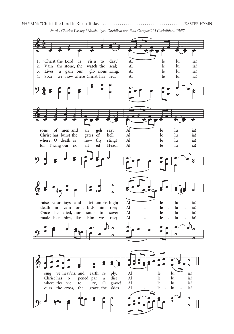**2. Vain the stone, the watch, the seal; Al le lu ia!** *Words: Charles Wesley / Music: Lyra Davidica; arr. Paul Campbell / I Corinthians 15:57*

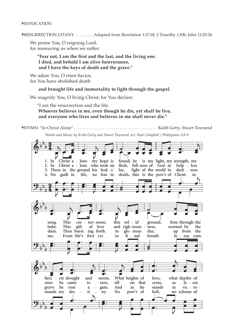#### WINVOCATION

WRESURRECTION LITANY . . . . . . . . . Adapted from Revelation 1:17-18; 2 Timothy 1:10b; John 11:25-26

We praise You, O reigning Lord, for reassuring us when we suffer:

#### **"Fear not, I am the first and the last, and the living one. I died, and behold I am alive forevermore, and I have the keys of death and the grave."**

We adore You, O risen Savior, for You have abolished death

**and brought life and immortality to light through the gospel.**

We magnify You, O living Christ, for You declare:

"I am the resurrection and the life. **Whoever believes in me, even though he die, yet shall he live,**  and everyone who lives and believes in me shall never die."

WHYMN: "In Christ Alone" . . . . . . . . . . . . . . . . . . . . . . . . . . . . . . . . . . . . . . . . Keith Getty, Stuart Townend 577 In Christ Alone *Unison*

*Words and Music by Keith Getty and Stuart Townend; arr. Paul Campbell / Philippians 3:8-9*

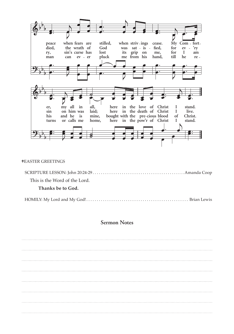

#### *<del>\*</del>EASTER GREETINGS*

| This is the Word of the Lord. |  |
|-------------------------------|--|
| Thanks be to God.             |  |
|                               |  |

#### **2. Let those re fuse to sing that nev er knew our God; 3. The men of grace have found glo ry be gun be low; Sermon Notes**

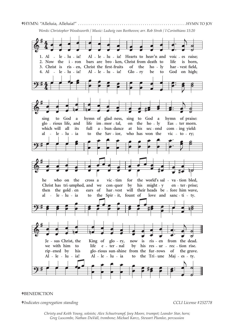WHYMN: "Alleluia, Alleluia!" . . . . . . . . . . . . . . . . . . . . . . . . . . . . . . . . . . . . . . . . . . . . . . . . . . . . HYMN TO JOY Alleluia! Alleluia! 228 *Words: Christopher Woodsworth / Music: Ludwig van Beethoven; arr. Rob Stroh / I Corinthians 15:20*



#### **\*BENEDICTION**

*Christy and Keith Young, soloists; Alex Schuetrumpf, Joey Moore, trumpet; Leander Star, horn; Greg Luscombe, Nathan DuVall, trombone; Michael Karcz, Stewart Plumlee, percussion*

W*Indicates congregation standing CCLI License #252778*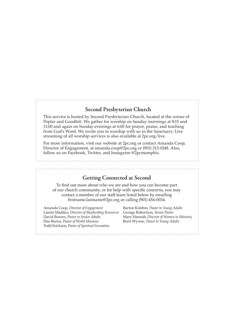### **Second Presbyterian Church**

This service is hosted by Second Presbyterian Church, located at the corner of Poplar and Goodlett. We gather for worship on Sunday mornings at 8:15 and 11:00 and again on Sunday evenings at 6:00 for prayer, praise, and teaching from God's Word. We invite you to worship with us in the Sanctuary. Live streaming of all worship services is also available at 2pc.org/live.

For more information, visit our website at 2pc.org or contact Amanda Coop, Director of Engagement, at amanda.coop@2pc.org or (901) 312-0248. Also, follow us on Facebook, Twitter, and Instagram @2pcmemphis.

## **Getting Connected at Second**

To find out more about who we are and how you can become part of our church community, or for help with specific concerns, you may contact a member of our staff team listed below by emailing firstname.lastname@2pc.org or calling (901) 454-0034.

Amanda Coop, *Director of Engagement* Laurin Maddux, *Director of Shepherding Resources* David Bowen, *Pastor to Senior Adults* Dan Burns, *Pastor of World Missions* Todd Erickson, *Pastor of Spiritual Formation*

Barton Kimbro, *Pastor to Young Adults* George Robertson, *Senior Pastor* Mary Hannah, *Director of Women in Ministry* Brett Wynne, *Pastor to Young Adults*